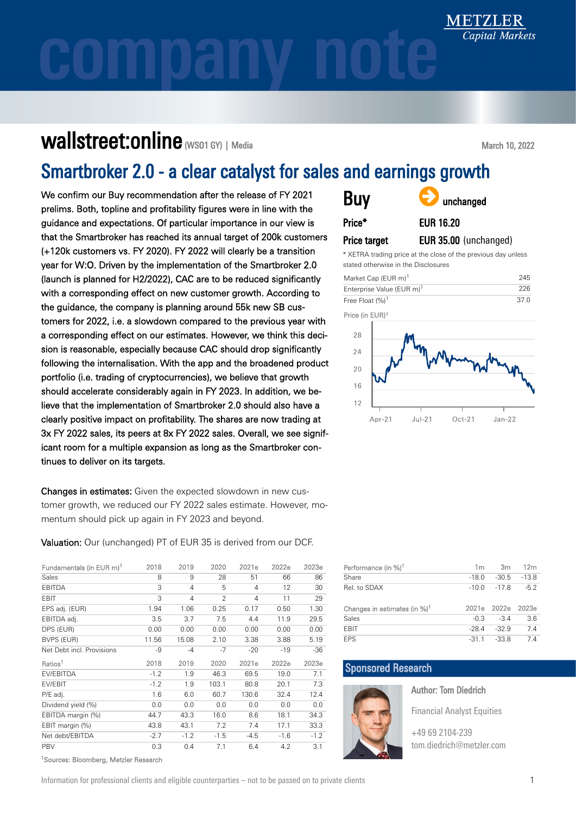## Wallstreet:online (WSO1 GY) | Media

March 10, 2022

## Smartbroker 2.0 - a clear catalyst for sales and earnings growth

We confirm our Buy recommendation after the release of FY 2021 prelims. Both, topline and profitability figures were in line with the guidance and expectations. Of particular importance in our view that the Smartbroker has reached its annual target of 200k custo (+120k customers vs. FY 2020). FY 2022 will clearly be a transition year for W:O. Driven by the implementation of the Smartbroker 2.0 (launch is planned for H2/2022), CAC are to be reduced significantly with a corresponding effect on new customer growth. According to the guidance, the company is planning around 55k new SB customers for 2022, i.e. a slowdown compared to the previous year with a corresponding effect on our estimates. However, we think this decision is reasonable, especially because CAC should drop significantly following the internalisation. With the app and the broadened product portfolio (i.e. trading of cryptocurrencies), we believe that growth should accelerate considerably again in FY 2023. In addition, we believe that the implementation of Smartbroker 2.0 should also have a clearly positive impact on profitability. The shares are now trading at 3x FY 2022 sales, its peers at 8x FY 2022 sales. Overall, we see significant room for a multiple expansion as long as the Smartbroker continues to deliver on its targets.

Changes in estimates: Given the expected slowdown in new customer growth, we reduced our FY 2022 sales estimate. However, momentum should pick up again in FY 2023 and beyond.

Valuation: Our (unchanged) PT of EUR 35 is derived from our DCF.

| Fundamentals (in EUR m) <sup>1</sup> | 2018   | 2019           | 2020           | 2021e  | 2022e  | 2023e  |
|--------------------------------------|--------|----------------|----------------|--------|--------|--------|
| Sales                                | 8      | 9              | 28             | 51     | 66     | 86     |
| <b>EBITDA</b>                        | 3      | $\overline{4}$ | 5              | 4      | 12     | 30     |
| <b>EBIT</b>                          | 3      | 4              | $\overline{2}$ | 4      | 11     | 29     |
| EPS adj. (EUR)                       | 1.94   | 1.06           | 0.25           | 0.17   | 0.50   | 1.30   |
| EBITDA adj.                          | 3.5    | 3.7            | 7.5            | 4.4    | 11.9   | 29.5   |
| DPS (EUR)                            | 0.00   | 0.00           | 0.00           | 0.00   | 0.00   | 0.00   |
| BVPS (EUR)                           | 11.56  | 15.08          | 2.10           | 3.38   | 3.88   | 5.19   |
| Net Debt incl. Provisions            | -9     | $-4$           | $-7$           | $-20$  | $-19$  | $-36$  |
| Ratios <sup>1</sup>                  | 2018   | 2019           | 2020           | 2021e  | 2022e  | 2023e  |
| <b>FV/FBITDA</b>                     | $-1.2$ | 1.9            | 46.3           | 69.5   | 19.0   | 7.1    |
| EV/EBIT                              | $-1.2$ | 1.9            | 103.1          | 80.8   | 20.1   | 7.3    |
| P/E adj.                             | 1.6    | 6.0            | 60.7           | 130.6  | 32.4   | 12.4   |
| Dividend yield (%)                   | 0.0    | 0.0            | 0.0            | 0.0    | 0.0    | 0.0    |
| EBITDA margin (%)                    | 44.7   | 43.3           | 16.0           | 8.6    | 18.1   | 34.3   |
|                                      |        |                |                |        |        |        |
| EBIT margin (%)                      | 43.8   | 43.1           | 7.2            | 7.4    | 17.1   | 33.3   |
| Net debt/EBITDA                      | $-2.7$ | $-1.2$         | $-1.5$         | $-4.5$ | $-1.6$ | $-1.2$ |

<sup>1</sup>Sources: Bloomberg, Metzler Research

| 21<br>he | <b>Buy</b>   | anchanged             |
|----------|--------------|-----------------------|
| ∕ is     | Price*       | <b>EUR 16.20</b>      |
| omers    | Price target | EUR 35.00 (unchanged) |
| ∣∩n      |              |                       |

XETRA trading price at the close of the previous day unless stated otherwise in the Disclosures

| Market Cap (EUR m) <sup>1</sup>       | 245  |
|---------------------------------------|------|
| Enterprise Value (EUR m) <sup>1</sup> | 226  |
| Free Float (%) <sup>1</sup>           | 37 O |





| Performance (in %) <sup>1</sup>          | 1m      | 3 <sub>m</sub> | 12 <sub>m</sub> |
|------------------------------------------|---------|----------------|-----------------|
| Share                                    | $-18.0$ | $-30.5$        | $-13.8$         |
| Rel. to SDAX                             | $-10.0$ | $-17.8$        | $-5.2$          |
|                                          |         |                |                 |
| Changes in estimates (in %) <sup>1</sup> | 2021e   | 2022e          | 2023e           |
| Sales                                    | $-0.3$  | $-3.4$         | 3.6             |
| <b>FBIT</b>                              | $-28.4$ | $-32.9$        | 7.4             |

## Sponsored Research



Author: Tom Diedrich

Financial Analyst Equities

[+49 69 2104-239](tel:+49692104239) [tom.diedrich@metzler.com](mailto:tom.diedrich@metzler.com)

Information for professional clients and eligible counterparties – not to be passed on to private clients 1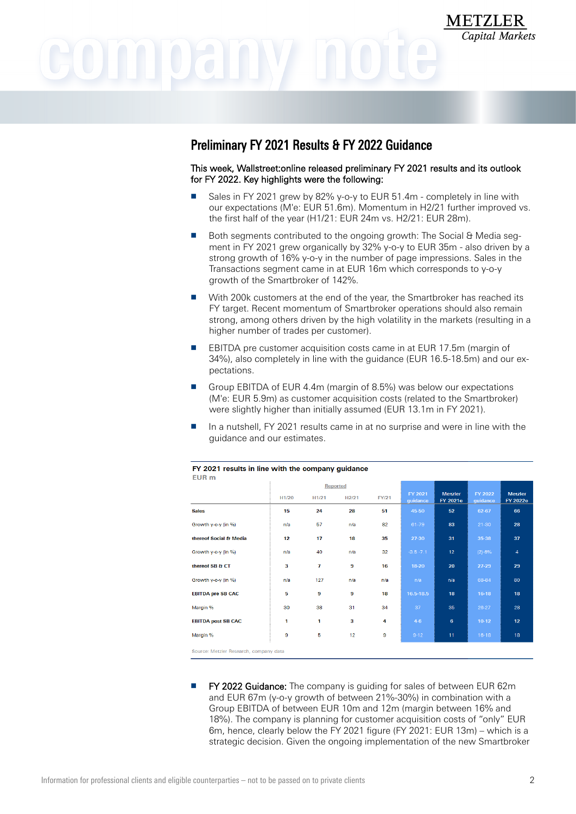## Preliminary FY 2021 Results & FY 2022 Guidance

This week, Wallstreet:online released preliminary FY 2021 results and its outlook for FY 2022. Key highlights were the following:

**METZLER** 

Capital Markets

- Sales in FY 2021 grew by 82% y-o-y to EUR 51.4m completely in line with our expectations (M'e: EUR 51.6m). Momentum in H2/21 further improved vs. the first half of the year (H1/21: EUR 24m vs. H2/21: EUR 28m).
- Both segments contributed to the ongoing growth: The Social & Media segment in FY 2021 grew organically by 32% y-o-y to EUR 35m - also driven by a strong growth of 16% y-o-y in the number of page impressions. Sales in the Transactions segment came in at EUR 16m which corresponds to y-o-y growth of the Smartbroker of 142%.
- With 200k customers at the end of the year, the Smartbroker has reached its FY target. Recent momentum of Smartbroker operations should also remain strong, among others driven by the high volatility in the markets (resulting in a higher number of trades per customer).
- EBITDA pre customer acquisition costs came in at EUR 17.5m (margin of 34%), also completely in line with the guidance (EUR 16.5-18.5m) and our expectations.
- Group EBITDA of EUR 4.4m (margin of 8.5%) was below our expectations (M'e: EUR 5.9m) as customer acquisition costs (related to the Smartbroker) were slightly higher than initially assumed (EUR 13.1m in FY 2021).
- In a nutshell, FY 2021 results came in at no surprise and were in line with the guidance and our estimates.

| ----                                   |                   |                | <b>Reported</b> |              |                     |                                   |                     |                            |
|----------------------------------------|-------------------|----------------|-----------------|--------------|---------------------|-----------------------------------|---------------------|----------------------------|
|                                        | H <sub>1/20</sub> | H1/21          | H2/21           | <b>FY/21</b> | FY 2021<br>quidance | <b>Metzler</b><br><b>FY 2021e</b> | FY 2022<br>quidance | <b>Metzler</b><br>FY 2022e |
| <b>Sales</b>                           | 15                | 24             | 28              | 51           | 45-50               | 52                                | 62-67               | 66                         |
| Growth y-o-y (in %)                    | n/a               | 57             | n/a             | 82           | 61-79               | 83                                | $21 - 30$           | 28                         |
| thereof Social & Media                 | 12                | 17             | 18              | 35           | 27-30               | 31                                | 35-38               | 37                         |
| Growth y-o-y (in %)                    | n/a               | 40             | n/a             | 32           | $-3.5 - 7.1$        | 12                                | $(2) - 6%$          | 4                          |
| thereof SB & CT                        | 3                 | 7              | 9               | 16           | 18-20               | 20                                | $27-29$             | 29                         |
| Growth y-o-y (in %)                    | n/a               | 127            | n/a             | n/a          | n/a                 | n/a                               | 68-84               | 80                         |
| <b>EBITDA pre SB CAC</b>               | 5                 | $\overline{9}$ | 9               | 18           | 16.5-18.5           | 18                                | $16-18$             | 18                         |
| Margin %                               | 30                | 38             | 31              | 34           | 37                  | 35                                | $26-27$             | 28                         |
| <b>EBITDA post SB CAC</b>              | 1                 | 1              | 3               | 4            | $4-6$               | 6                                 | $10-12$             | 12 <sub>2</sub>            |
| Margin %                               | 9                 | 5              | 12              | 9            | $9 - 12$            | 11                                | $16 - 18$           | 18                         |
| Source: Metzler Research, company data |                   |                |                 |              |                     |                                   |                     |                            |

#### FY 2021 results in line with the company guidance ELID<sub>m</sub>

**FY 2022 Guidance:** The company is quiding for sales of between EUR 62m and EUR 67m (y-o-y growth of between 21%-30%) in combination with a Group EBITDA of between EUR 10m and 12m (margin between 16% and 18%). The company is planning for customer acquisition costs of "only" EUR 6m, hence, clearly below the FY 2021 figure (FY 2021: EUR 13m) – which is a strategic decision. Given the ongoing implementation of the new Smartbroker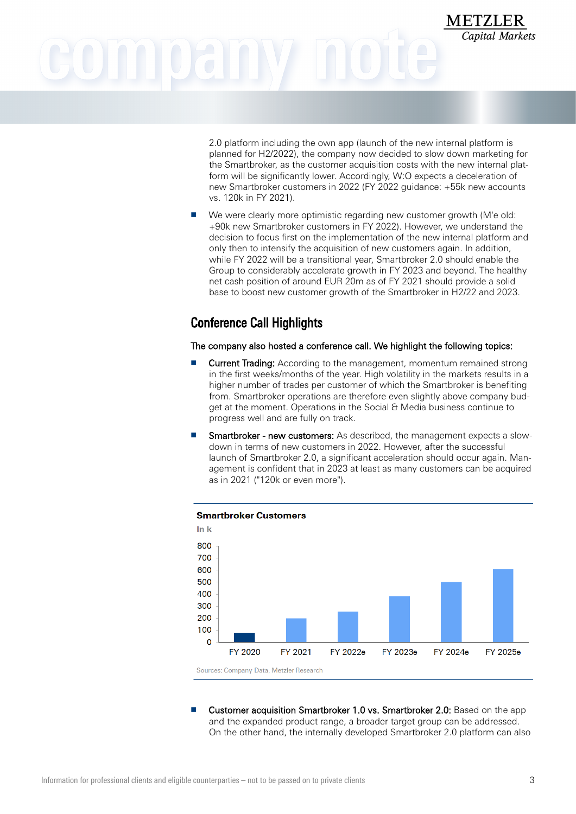# **METZLER**

2.0 platform including the own app (launch of the new internal platform is planned for H2/2022), the company now decided to slow down marketing for the Smartbroker, as the customer acquisition costs with the new internal platform will be significantly lower. Accordingly, W:O expects a deceleration of new Smartbroker customers in 2022 (FY 2022 guidance: +55k new accounts vs. 120k in FY 2021).

Capital Markets

We were clearly more optimistic regarding new customer growth (M'e old: +90k new Smartbroker customers in FY 2022). However, we understand the decision to focus first on the implementation of the new internal platform and only then to intensify the acquisition of new customers again. In addition, while FY 2022 will be a transitional year, Smartbroker 2.0 should enable the Group to considerably accelerate growth in FY 2023 and beyond. The healthy net cash position of around EUR 20m as of FY 2021 should provide a solid base to boost new customer growth of the Smartbroker in H2/22 and 2023.

## Conference Call Highlights

The company also hosted a conference call. We highlight the following topics:

- **Current Trading:** According to the management, momentum remained strong in the first weeks/months of the year. High volatility in the markets results in a higher number of trades per customer of which the Smartbroker is benefiting from. Smartbroker operations are therefore even slightly above company budget at the moment. Operations in the Social & Media business continue to progress well and are fully on track.
- **Smartbroker new customers:** As described, the management expects a slowdown in terms of new customers in 2022. However, after the successful launch of Smartbroker 2.0, a significant acceleration should occur again. Management is confident that in 2023 at least as many customers can be acquired as in 2021 ("120k or even more").



Sources: Company Data, Metzler Research

Customer acquisition Smartbroker 1.0 vs. Smartbroker 2.0: Based on the app and the expanded product range, a broader target group can be addressed. On the other hand, the internally developed Smartbroker 2.0 platform can also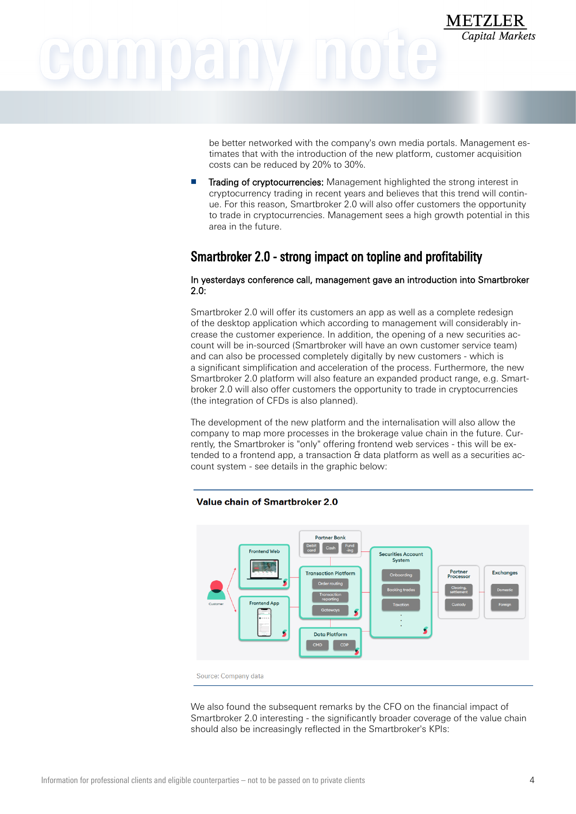# **METZLER**

be better networked with the company's own media portals. Management estimates that with the introduction of the new platform, customer acquisition costs can be reduced by 20% to 30%.

Capital Markets

Trading of cryptocurrencies: Management highlighted the strong interest in cryptocurrency trading in recent years and believes that this trend will continue. For this reason, Smartbroker 2.0 will also offer customers the opportunity to trade in cryptocurrencies. Management sees a high growth potential in this area in the future.

## Smartbroker 2.0 - strong impact on topline and profitability

## In yesterdays conference call, management gave an introduction into Smartbroker 2.0:

Smartbroker 2.0 will offer its customers an app as well as a complete redesign of the desktop application which according to management will considerably increase the customer experience. In addition, the opening of a new securities account will be in-sourced (Smartbroker will have an own customer service team) and can also be processed completely digitally by new customers - which is a significant simplification and acceleration of the process. Furthermore, the new Smartbroker 2.0 platform will also feature an expanded product range, e.g. Smartbroker 2.0 will also offer customers the opportunity to trade in cryptocurrencies (the integration of CFDs is also planned).

The development of the new platform and the internalisation will also allow the company to map more processes in the brokerage value chain in the future. Currently, the Smartbroker is "only" offering frontend web services - this will be extended to a frontend app, a transaction & data platform as well as a securities account system - see details in the graphic below:

## **Value chain of Smartbroker 2.0**



Source: Company data

We also found the subsequent remarks by the CFO on the financial impact of Smartbroker 2.0 interesting - the significantly broader coverage of the value chain should also be increasingly reflected in the Smartbroker's KPIs: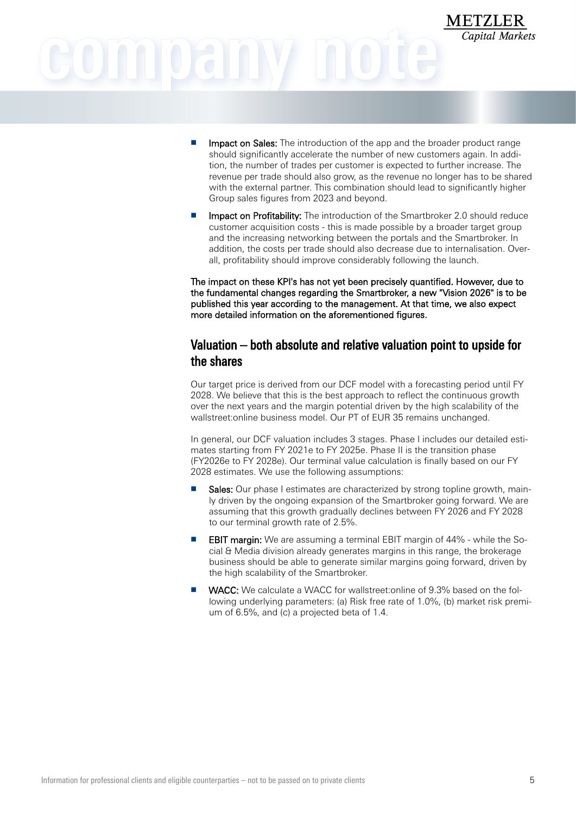- Impact on Sales: The introduction of the app and the broader product range should significantly accelerate the number of new customers again. In addition, the number of trades per customer is expected to further increase. The revenue per trade should also grow, as the revenue no longer has to be shared with the external partner. This combination should lead to significantly higher Group sales figures from 2023 and beyond.
- Impact on Profitability: The introduction of the Smartbroker 2.0 should reduce customer acquisition costs - this is made possible by a broader target group and the increasing networking between the portals and the Smartbroker. In addition, the costs per trade should also decrease due to internalisation. Overall, profitability should improve considerably following the launch.

The impact on these KPI's has not yet been precisely quantified. However, due to the fundamental changes regarding the Smartbroker, a new "Vision 2026" is to be published this year according to the management. At that time, we also expect more detailed information on the aforementioned figures.

## Valuation – both absolute and relative valuation point to upside for the shares

Our target price is derived from our DCF model with a forecasting period until FY 2028. We believe that this is the best approach to reflect the continuous growth over the next years and the margin potential driven by the high scalability of the wallstreet:online business model. Our PT of EUR 35 remains unchanged.

In general, our DCF valuation includes 3 stages. Phase I includes our detailed estimates starting from FY 2021e to FY 2025e. Phase II is the transition phase (FY2026e to FY 2028e). Our terminal value calculation is finally based on our FY 2028 estimates. We use the following assumptions:

- Sales: Our phase I estimates are characterized by strong topline growth, mainly driven by the ongoing expansion of the Smartbroker going forward. We are assuming that this growth gradually declines between FY 2026 and FY 2028 to our terminal growth rate of 2.5%.
- **EBIT margin:** We are assuming a terminal EBIT margin of 44% while the Social & Media division already generates margins in this range, the brokerage business should be able to generate similar margins going forward, driven by the high scalability of the Smartbroker.
- WACC: We calculate a WACC for wallstreet: online of 9.3% based on the following underlying parameters: (a) Risk free rate of 1.0%, (b) market risk premium of 6.5%, and (c) a projected beta of 1.4.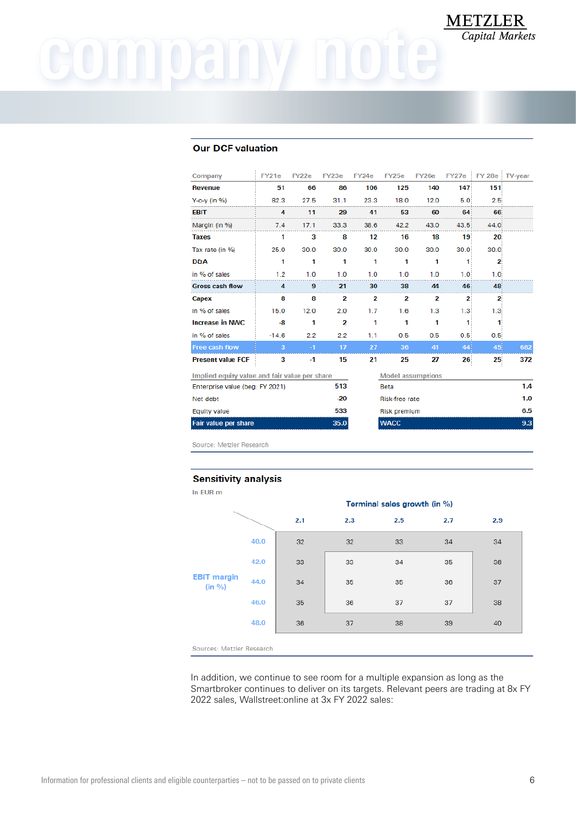## COMMOGINY

## **Our DCF valuation**

| Company                                       | FY21e   | FY22e | FY23e                   | <b>FY24e</b> | FY25e                    | FY26e | FY27e            |                  | FY 28e TV-year |
|-----------------------------------------------|---------|-------|-------------------------|--------------|--------------------------|-------|------------------|------------------|----------------|
| <b>Revenue</b>                                | 51      | 66    | 86                      | 106          | 125                      | 140   | 147              | 151              |                |
| $Y$ -o-y (in %)                               | 82.3    | 27.5  | 31.1                    | 23.3         | 18.0                     | 12.0  | 5.0              | 2.5%             |                |
| <b>EBIT</b>                                   | 4       | 11    | 29                      | 41           | 53                       | 60    | 64               | 66               |                |
| Margin (in %)                                 | 7.4     | 17.1  | 33.3                    | 38.6         | 42.2                     | 43.0  | 43.5             | 44.0             |                |
| <b>Taxes</b>                                  | 1       | 3     | 8                       | 12           | 16                       | 18    | 19 <sup>2</sup>  | $20^{\circ}$     |                |
| Tax rate (in %)                               | 25.0    | 30.0  | 30.0                    | 30.0         | 30.0                     | 30.0  | 30.0             | 30.0             |                |
| <b>D&amp;A</b>                                | 1       | 1     | 1                       | 1            | 1                        | 1     | 1                | 2                |                |
| in % of sales                                 | 1.2     | 1.0   | 1.0                     | 1.0          | 1.0                      | 1.0   | 1.0              | 1.0 <sup>2</sup> |                |
| <b>Gross cash flow</b>                        | 4       | 9     | 21                      | 30           | 38                       | 44    | 46               | 48               |                |
| Capex                                         | 8       | 8     | 2                       | 2            | 2                        | 2     | $\overline{2}$   | 2                |                |
| in % of sales                                 | 15.0    | 12.0  | 2.0                     | 1.7          | 1.6                      | 1.3   | 1.3 <sup>2</sup> | 1.3%             |                |
| <b>Increase in NWC</b>                        | -8      | 1     | $\overline{\mathbf{2}}$ | 1            | 1                        | 1     | 1                | 11               |                |
| in % of sales                                 | $-14.6$ | 2.2   | 2.2                     | 1.1          | 0.5                      | 0.5   | $0.5^{\circ}$    | 0.5 <sub>1</sub> |                |
| <b>Free cash flow</b>                         | 3       | $-1$  | 17                      | 27           | 36                       | 41    | 44               | 45               | 682            |
| <b>Present value FCF</b>                      | 3       | -1    | 15                      | 21           | 25                       | 27    | 26               | $25^{\circ}$     | 372            |
| Implied equity value and fair value per share |         |       |                         |              | <b>Model assumptions</b> |       |                  |                  |                |
| Enterprise value (beg. FY 2021)               |         |       | 513                     |              | Beta                     |       |                  |                  | 1.4            |
| Net debt                                      |         |       | $-20$                   |              | Risk-free rate           |       |                  |                  | 1.0            |
| <b>Equity value</b>                           |         |       | 533                     |              | <b>Risk premium</b>      |       |                  |                  | 6.5            |
| <b>Fair value per share</b>                   |         |       | 35.0                    |              | <b>WACC</b>              |       |                  |                  | 9.3            |

**METZLER** 

Capital Markets

Source: Metzler Research

## **Sensitivity analysis**

| In EUR m                     |      |     |     |                              |     |     |
|------------------------------|------|-----|-----|------------------------------|-----|-----|
|                              |      |     |     | Terminal sales growth (in %) |     |     |
|                              |      | 2.1 | 2.3 | 2.5                          | 2.7 | 2.9 |
|                              | 40.0 | 32  | 32  | 33                           | 34  | 34  |
| <b>EBIT</b> margin<br>(in %) | 42.0 | 33  | 33  | 34                           | 35  | 36  |
|                              | 44.0 | 34  | 35  | 35                           | 36  | 37  |
|                              | 46.0 | 35  | 36  | 37                           | 37  | 38  |
|                              | 48.0 | 36  | 37  | 38                           | 39  | 40  |
|                              |      |     |     |                              |     |     |

Sources: Metzler Research

In addition, we continue to see room for a multiple expansion as long as the Smartbroker continues to deliver on its targets. Relevant peers are trading at 8x FY 2022 sales, Wallstreet:online at 3x FY 2022 sales: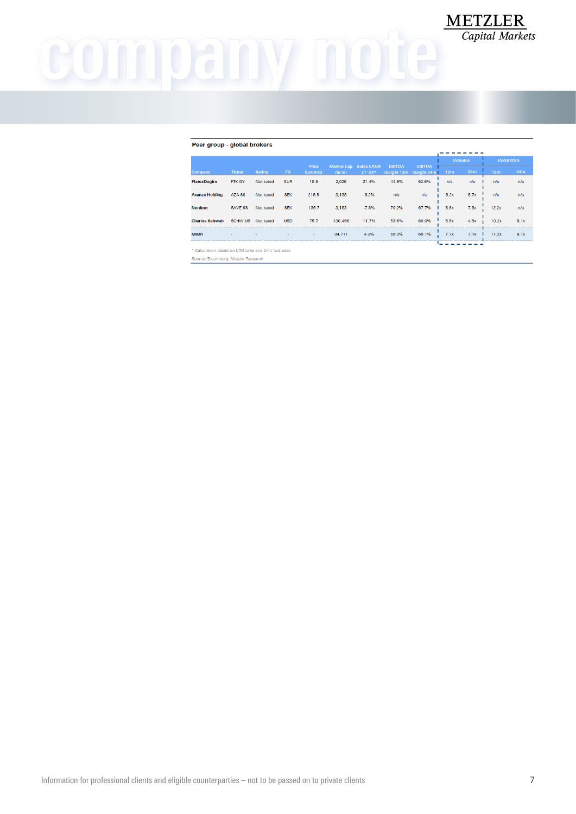## company note

## Peer group - global brokers

|                                                     |                |           |            |                   |         |                                          |               |                                        |                 | <b>EV/Sales</b> |                 | <b>EV/EBITDA</b> |
|-----------------------------------------------------|----------------|-----------|------------|-------------------|---------|------------------------------------------|---------------|----------------------------------------|-----------------|-----------------|-----------------|------------------|
| Company                                             | <b>Ticker</b>  | Rating    | <b>FX</b>  | Price<br>03/09/22 | (in m)  | <b>Market Cap Sales CAGR</b><br>21'-23'* | <b>EBITDA</b> | <b>EBITDA</b><br>margin 12m margin 24m | 12 <sub>m</sub> | 24m             | 12 <sub>m</sub> | 24m              |
| <b>FlatexDegiro</b>                                 | FTK GY         | Not rated | <b>EUR</b> | 18.5              | 2,026   | 21.4%                                    | 44.9%         | 52.6%                                  | n/a             | n/a             | n/a             | n/a              |
| <b>Avanza Holding</b>                               | <b>AZA SS</b>  | Not rated | <b>SEK</b> | 216.5             | 3,138   | $-8.2%$                                  | n/a           | n/a                                    | 9.2x            | 8.7x            | n/a             | n/a              |
| <b>Nordnet</b>                                      | <b>SAVE SS</b> | Not rated | <b>SEK</b> | 136.7             | 3,183   | $-7.8%$                                  | 70.2%         | 67.7%                                  | 8.6x            | 7.8x            | 12.2x           | n/a              |
| <b>Charles Schwab</b>                               | <b>SCHW US</b> | Not rated | <b>USD</b> | 75.7              | 130.496 | 11.7%                                    | 53.6%         | 60.0%                                  | <b>5.5x</b>     | 4.9x            | 10.2x           | 8.1x             |
| <b>Mean</b>                                         |                |           |            | $\sim$            | 34.711  | 4.3%                                     | 56.2%         | 60.1%                                  | 7.7x            | 7.1x            | 11.2x           | 8.1x             |
| * Coloulation based on LTM sales and 24m furd sales |                |           |            |                   |         |                                          |               |                                        |                 |                 |                 |                  |

 $\frac{\textbf{METZLER}}{\textit{Capital Markets}}$ 

Source: Bloomberg, Metzler Research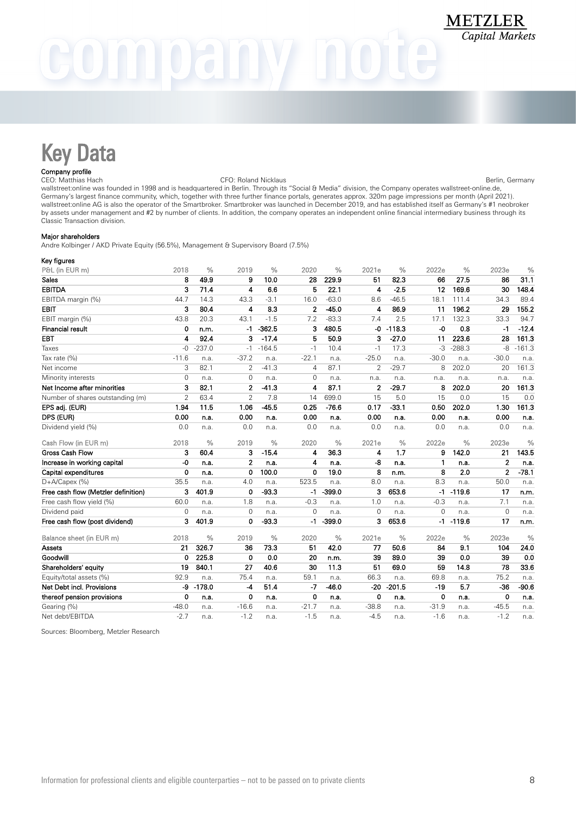## $0$ aln $V$

## Key Data

## Company profile

CEO: Matthias Hach CFO: Roland Nicklaus Berlin, Germany wallstreet:online was founded in 1998 and is headquartered in Berlin. Through its "Social & Media" division, the Company operates wallstreet-online.de, Germany's largest finance community, which, together with three further finance portals, generates approx. 320m page impressions per month (April 2021). wallstreet:online AG is also the operator of the Smartbroker. Smartbroker was launched in December 2019, and has established itself as Germany's #1 neobroker by assets under management and #2 by number of clients. In addition, the company operates an independent online financial intermediary business through its Classic Transaction division.

## Major shareholders

Andre Kolbinger / AKD Private Equity (56.5%), Management & Supervisory Board (7.5%)

| Key figures                         |                |               |                         |               |                |               |                |               |                |               |                |               |
|-------------------------------------|----------------|---------------|-------------------------|---------------|----------------|---------------|----------------|---------------|----------------|---------------|----------------|---------------|
| P&L (in EUR m)                      | 2018           | $\frac{0}{0}$ | 2019                    | $\frac{0}{0}$ | 2020           | $\frac{0}{0}$ | 2021e          | $\frac{0}{0}$ | 2022e          | $\frac{0}{0}$ | 2023e          | $\frac{0}{0}$ |
| Sales                               | 8              | 49.9          | 9                       | 10.0          | 28             | 229.9         | 51             | 82.3          | 66             | 27.5          | 86             | 31.1          |
| <b>EBITDA</b>                       | 3              | 71.4          | 4                       | 6.6           | 5              | 22.1          | 4              | $-2.5$        | 12             | 169.6         | 30             | 148.4         |
| EBITDA margin (%)                   | 44.7           | 14.3          | 43.3                    | $-3.1$        | 16.0           | $-63.0$       | 8.6            | $-46.5$       | 18.1           | 111.4         | 34.3           | 89.4          |
| <b>EBIT</b>                         | 3              | 80.4          | $\overline{\mathbf{4}}$ | 8.3           | $\overline{2}$ | 45.0          | 4              | 86.9          | 11             | 196.2         | 29             | 155.2         |
| EBIT margin (%)                     | 43.8           | 20.3          | 43.1                    | $-1.5$        | 7.2            | $-83.3$       | 7.4            | 2.5           | 17.1           | 132.3         | 33.3           | 94.7          |
| <b>Financial result</b>             | 0              | n.m.          | -1                      | $-362.5$      | 3              | 480.5         | -0             | $-118.3$      | $-0$           | 0.8           | $-1$           | $-12.4$       |
| <b>EBT</b>                          | 4              | 92.4          | 3                       | $-17.4$       | 5              | 50.9          | 3              | $-27.0$       | 11             | 223.6         | 28             | 161.3         |
| Taxes                               | $-0$           | $-237.0$      | $-1$                    | $-164.5$      | $-1$           | 10.4          | $-1$           | 17.3          | $-3$           | $-288.3$      | -8             | $-161.3$      |
| Tax rate (%)                        | $-11.6$        | n.a.          | $-37.2$                 | n.a.          | $-22.1$        | n.a.          | $-25.0$        | n.a.          | $-30.0$        | n.a.          | $-30.0$        | n.a.          |
| Net income                          | 3              | 82.1          | $\overline{2}$          | $-41.3$       | 4              | 87.1          | $\overline{2}$ | $-29.7$       | 8              | 202.0         | 20             | 161.3         |
| Minority interests                  | $\Omega$       | n.a.          | $\mathbf{0}$            | n.a.          | $\Omega$       | n.a.          | n.a.           | n.a.          | n.a.           | n.a.          | n.a.           | n.a.          |
| Net Income after minorities         | 3              | 82.1          | $\overline{2}$          | $-41.3$       | 4              | 87.1          | $\mathbf{2}$   | $-29.7$       | 8              | 202.0         | 20             | 161.3         |
| Number of shares outstanding (m)    | $\overline{2}$ | 63.4          | $\overline{2}$          | 7.8           | 14             | 699.0         | 15             | 5.0           | 15             | 0.0           | 15             | 0.0           |
| EPS adj. (EUR)                      | 1.94           | 11.5          | 1.06                    | $-45.5$       | 0.25           | $-76.6$       | 0.17           | $-33.1$       | 0.50           | 202.0         | 1.30           | 161.3         |
| DPS (EUR)                           | 0.00           | n.a.          | 0.00                    | n.a.          | 0.00           | n.a.          | 0.00           | n.a.          | 0.00           | n.a.          | 0.00           | n.a.          |
| Dividend yield (%)                  | 0.0            | n.a.          | 0.0                     | n.a.          | 0.0            | n.a.          | 0.0            | n.a.          | 0.0            | n.a.          | 0.0            | n.a.          |
| Cash Flow (in EUR m)                | 2018           | $\%$          | 2019                    | $\frac{0}{0}$ | 2020           | $\frac{0}{0}$ | 2021e          | $\frac{0}{0}$ | 2022e          | $\frac{0}{0}$ | 2023e          | $\frac{0}{0}$ |
| <b>Gross Cash Flow</b>              | 3              | 60.4          | 3                       | $-15.4$       | 4              | 36.3          | 4              | 1.7           | 9              | 142.0         | 21             | 143.5         |
| Increase in working capital         | $-0$           | n.a.          | $\mathbf{2}$            | n.a.          | 4              | n.a.          | -8             | n.a.          | 1              | n.a.          | $\overline{2}$ | n.a.          |
| Capital expenditures                | 0              | n.a.          | 0                       | 100.0         | 0              | 19.0          | 8              | n.m.          | 8              | 2.0           | $\overline{2}$ | $-78.1$       |
| $D+ACa$ pex (%)                     | 35.5           | n.a.          | 4.0                     | n.a.          | 523.5          | n.a.          | 8.0            | n.a.          | 8.3            | n.a.          | 50.0           | n.a.          |
| Free cash flow (Metzler definition) | 3              | 401.9         | $\mathbf 0$             | 93.3          | -1             | $-399.0$      | 3              | 653.6         | $-1$           | $-119.6$      | 17             | n.m.          |
| Free cash flow yield (%)            | 60.0           | n.a.          | 1.8                     | n.a.          | $-0.3$         | n.a.          | 1.0            | n.a.          | $-0.3$         | n.a.          | 7.1            | n.a.          |
| Dividend paid                       | $\overline{0}$ | n.a.          | $\mathbf{0}$            | n.a.          | $\overline{0}$ | n.a.          | 0              | n.a.          | $\overline{0}$ | n.a.          | $\overline{0}$ | n.a.          |
| Free cash flow (post dividend)      | 3              | 401.9         | 0                       | $-93.3$       | -1             | $-399.0$      | 3              | 653.6         | -1             | $-119.6$      | 17             | n.m.          |
| Balance sheet (in EUR m)            | 2018           | $\frac{0}{0}$ | 2019                    | $\frac{0}{0}$ | 2020           | $\frac{0}{0}$ | 2021e          | $\frac{0}{0}$ | 2022e          | $\frac{0}{0}$ | 2023e          | $\frac{0}{0}$ |
| Assets                              | 21             | 326.7         | 36                      | 73.3          | 51             | 42.0          | 77             | 50.6          | 84             | 9.1           | 104            | 24.0          |
| Goodwill                            | 0              | 225.8         | $\mathbf 0$             | 0.0           | 20             | n.m.          | 39             | 89.0          | 39             | 0.0           | 39             | 0.0           |
| Shareholders' equity                | 19             | 840.1         | 27                      | 40.6          | 30             | 11.3          | 51             | 69.0          | 59             | 14.8          | 78             | 33.6          |
| Equity/total assets (%)             | 92.9           | n.a.          | 75.4                    | n.a.          | 59.1           | n.a.          | 66.3           | n.a.          | 69.8           | n.a.          | 75.2           | n.a.          |
| Net Debt incl. Provisions           | -9             | $-178.0$      | $-4$                    | 51.4          | $-7$           | $-46.0$       | $-20$          | $-201.5$      | $-19$          | 5.7           | $-36$          | $-90.6$       |
| thereof pension provisions          | 0              | n.a.          | 0                       | n.a.          | 0              | n.a.          | 0              | n.a.          | 0              | n.a.          | $\mathbf 0$    | n.a.          |
| Gearing (%)                         | $-48.0$        | n.a.          | $-16.6$                 | n.a.          | $-21.7$        | n.a.          | $-38.8$        | n.a.          | $-31.9$        | n.a.          | $-45.5$        | n.a.          |
| Net debt/EBITDA                     | $-2.7$         | n.a.          | $-1.2$                  | n.a.          | $-1.5$         | n.a.          | $-4.5$         | n.a.          | $-1.6$         | n.a.          | $-1.2$         | n.a.          |

Sources: Bloomberg, Metzler Research

**METZLER Capital Markets**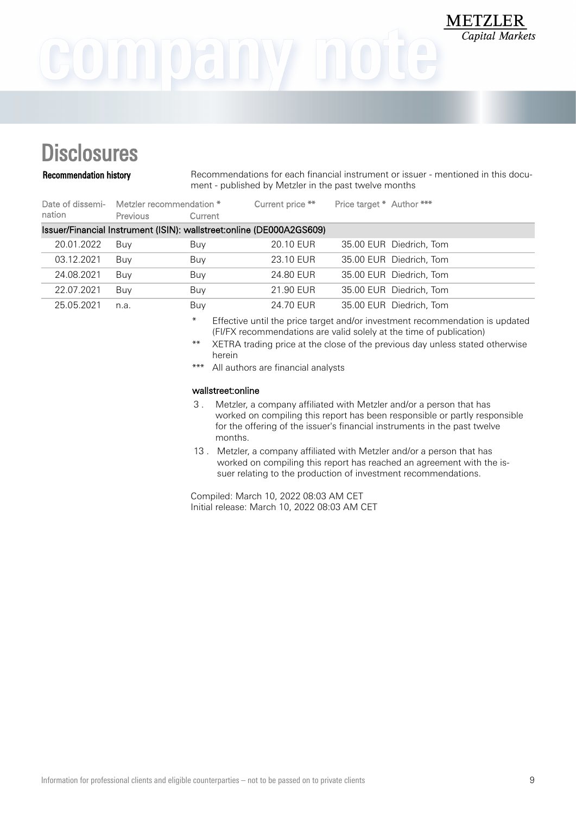## **Disclosures**

Recommendation history Recommendations for each financial instrument or issuer - mentioned in this document - published by Metzler in the past twelve months

**METZLER** 

Capital Markets

| nation     | Date of dissemi- Metzler recommendation *<br><b>Previous</b>          | Current | Current price ** | Price target * Author *** |                         |
|------------|-----------------------------------------------------------------------|---------|------------------|---------------------------|-------------------------|
|            | Issuer/Financial Instrument (ISIN): wallstreet: online (DE000A2GS609) |         |                  |                           |                         |
| 20.01.2022 | Buv                                                                   | Buy     | 20.10 EUR        |                           | 35.00 EUR Diedrich, Tom |
| 03.12.2021 | Buy                                                                   | Buy     | 23.10 EUR        |                           | 35.00 EUR Diedrich, Tom |
| 24.08.2021 | Buy                                                                   | Buy     | 24.80 EUR        |                           | 35.00 EUR Diedrich, Tom |
| 22.07.2021 | Buy                                                                   | Buy     | 21.90 EUR        |                           | 35.00 EUR Diedrich, Tom |
| 25.05.2021 | n.a.                                                                  | Buy     | 24.70 EUR        |                           | 35.00 EUR Diedrich, Tom |

\* Effective until the price target and/or investment recommendation is updated (FI/FX recommendations are valid solely at the time of publication)

- \*\* XETRA trading price at the close of the previous day unless stated otherwise herein
- \*\*\* All authors are financial analysts

## wallstreet:online

- 3 . Metzler, a company affiliated with Metzler and/or a person that has worked on compiling this report has been responsible or partly responsible for the offering of the issuer's financial instruments in the past twelve months.
- 13 . Metzler, a company affiliated with Metzler and/or a person that has worked on compiling this report has reached an agreement with the issuer relating to the production of investment recommendations.

Compiled: March 10, 2022 08:03 AM CET Initial release: March 10, 2022 08:03 AM CET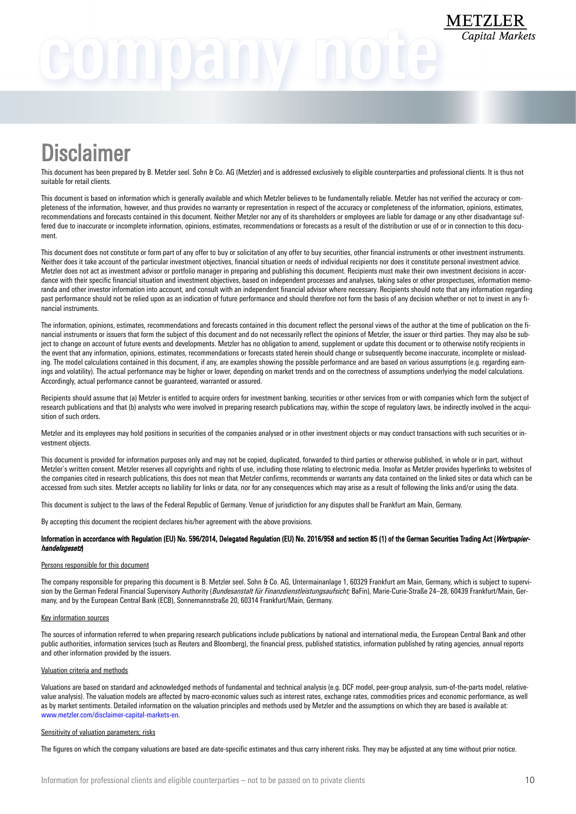## GOMNOANY NOU

## **Disclaimer**

This document has been prepared by B. Metzler seel. Sohn & Co. AG (Metzler) and is addressed exclusively to eligible counterparties and professional clients. It is thus not suitable for retail clients.

This document is based on information which is generally available and which Metzler believes to be fundamentally reliable. Metzler has not verified the accuracy or completeness of the information, however, and thus provides no warranty or representation in respect of the accuracy or completeness of the information, opinions, estimates, recommendations and forecasts contained in this document. Neither Metzler nor any of its shareholders or employees are liable for damage or any other disadvantage suffered due to inaccurate or incomplete information, opinions, estimates, recommendations or forecasts as a result of the distribution or use of or in connection to this document.

This document does not constitute or form part of any offer to buy or solicitation of any offer to buy securities, other financial instruments or other investment instruments. Neither does it take account of the particular investment objectives, financial situation or needs of individual recipients nor does it constitute personal investment advice. Metzler does not act as investment advisor or portfolio manager in preparing and publishing this document. Recipients must make their own investment decisions in accordance with their specific financial situation and investment objectives, based on independent processes and analyses, taking sales or other prospectuses, information memoranda and other investor information into account, and consult with an independent financial advisor where necessary. Recipients should note that any information regarding past performance should not be relied upon as an indication of future performance and should therefore not form the basis of any decision whether or not to invest in any financial instruments.

The information, opinions, estimates, recommendations and forecasts contained in this document reflect the personal views of the author at the time of publication on the financial instruments or issuers that form the subject of this document and do not necessarily reflect the opinions of Metzler, the issuer or third parties. They may also be subject to change on account of future events and developments. Metzler has no obligation to amend, supplement or update this document or to otherwise notify recipients in the event that any information, opinions, estimates, recommendations or forecasts stated herein should change or subsequently become inaccurate, incomplete or misleading. The model calculations contained in this document, if any, are examples showing the possible performance and are based on various assumptions (e.g. regarding earnings and volatility). The actual performance may be higher or lower, depending on market trends and on the correctness of assumptions underlying the model calculations. Accordingly, actual performance cannot be guaranteed, warranted or assured.

Recipients should assume that (a) Metzler is entitled to acquire orders for investment banking, securities or other services from or with companies which form the subject of research publications and that (b) analysts who were involved in preparing research publications may, within the scope of regulatory laws, be indirectly involved in the acquisition of such orders.

Metzler and its employees may hold positions in securities of the companies analysed or in other investment objects or may conduct transactions with such securities or investment objects.

This document is provided for information purposes only and may not be copied, duplicated, forwarded to third parties or otherwise published, in whole or in part, without Metzler's written consent. Metzler reserves all copyrights and rights of use, including those relating to electronic media. Insofar as Metzler provides hyperlinks to websites of the companies cited in research publications, this does not mean that Metzler confirms, recommends or warrants any data contained on the linked sites or data which can be accessed from such sites. Metzler accepts no liability for links or data, nor for any consequences which may arise as a result of following the links and/or using the data.

This document is subject to the laws of the Federal Republic of Germany. Venue of jurisdiction for any disputes shall be Frankfurt am Main, Germany.

By accepting this document the recipient declares his/her agreement with the above provisions.

## Information in accordance with Regulation (EU) No. 596/2014, Delegated Regulation (EU) No. 2016/958 and section 85 (1) of the German Securities Trading Act (Wertpapierhandelsgesetz)

## Persons responsible for this document

The company responsible for preparing this document is B. Metzler seel. Sohn & Co. AG, Untermainanlage 1, 60329 Frankfurt am Main, Germany, which is subject to supervision by the German Federal Financial Supervisory Authority (Bundesanstalt für Finanzdienstleistungsaufsicht; BaFin), Marie-Curie-Straße 24-28, 60439 Frankfurt/Main, Germany, and by the European Central Bank (ECB), Sonnemannstraße 20, 60314 Frankfurt/Main, Germany.

### Key information sources

The sources of information referred to when preparing research publications include publications by national and international media, the European Central Bank and other public authorities, information services (such as Reuters and Bloomberg), the financial press, published statistics, information published by rating agencies, annual reports and other information provided by the issuers.

## Valuation criteria and methods

Valuations are based on standard and acknowledged methods of fundamental and technical analysis (e.g. DCF model, peer-group analysis, sum-of-the-parts model, relativevalue analysis). The valuation models are affected by macro-economic values such as interest rates, exchange rates, commodities prices and economic performance, as well as by market sentiments. Detailed information on the valuation principles and methods used by Metzler and the assumptions on which they are based is available at: [www.metzler.com/disclaimer-capital-markets-en](http://www.metzler.com/disclaimer-capital-markets-en).

### Sensitivity of valuation parameters; risks

The figures on which the company valuations are based are date-specific estimates and thus carry inherent risks. They may be adjusted at any time without prior notice.

**METZLER**<br>Capital Markets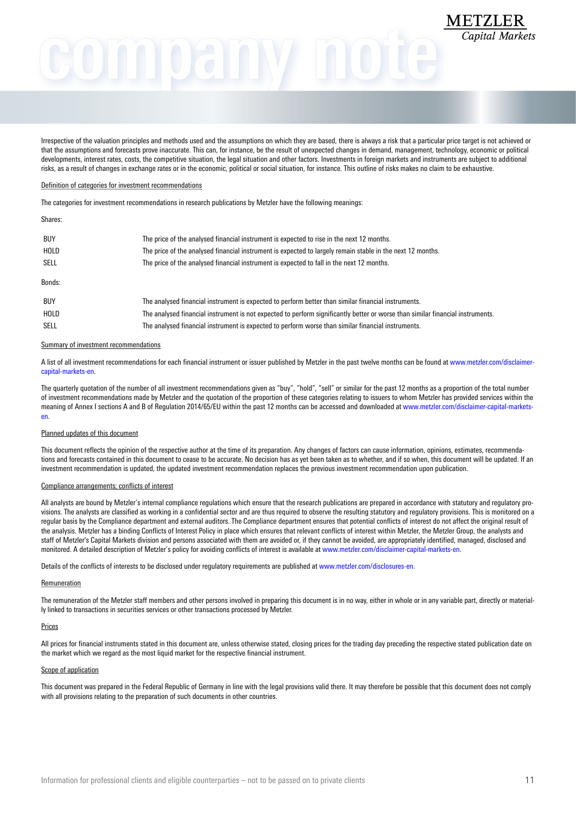# METZLER

Irrespective of the valuation principles and methods used and the assumptions on which they are based, there is always a risk that a particular price target is not achieved or that the assumptions and forecasts prove inaccurate. This can, for instance, be the result of unexpected changes in demand, management, technology, economic or political developments, interest rates, costs, the competitive situation, the legal situation and other factors. Investments in foreign markets and instruments are subject to additional risks, as a result of changes in exchange rates or in the economic, political or social situation, for instance. This outline of risks makes no claim to be exhaustive.

### Definition of categories for investment recommendations

The categories for investment recommendations in research publications by Metzler have the following meanings:

### Shares:

| <b>BUY</b><br>HOLD<br>SELL | The price of the analysed financial instrument is expected to rise in the next 12 months.<br>The price of the analysed financial instrument is expected to largely remain stable in the next 12 months.<br>The price of the analysed financial instrument is expected to fall in the next 12 months. |
|----------------------------|------------------------------------------------------------------------------------------------------------------------------------------------------------------------------------------------------------------------------------------------------------------------------------------------------|
| Bonds:                     |                                                                                                                                                                                                                                                                                                      |
| <b>BUY</b>                 | The analysed financial instrument is expected to perform better than similar financial instruments.                                                                                                                                                                                                  |
| HOLD                       | The analysed financial instrument is not expected to perform significantly better or worse than similar financial instruments.                                                                                                                                                                       |
| <b>SELL</b>                | The analysed financial instrument is expected to perform worse than similar financial instruments.                                                                                                                                                                                                   |

### Summary of investment recommendations

A list of all investment recommendations for each financial instrument or issuer published by Metzler in the past twelve months can be found at [www.metzler.com/disclaimer](http://www.metzler.com/disclaimer-capital-markets-en)[capital-markets-en](http://www.metzler.com/disclaimer-capital-markets-en).

The quarterly quotation of the number of all investment recommendations given as "buy", "hold", "sell" or similar for the past 12 months as a proportion of the total number of investment recommendations made by Metzler and the quotation of the proportion of these categories relating to issuers to whom Metzler has provided services within the meaning of Annex I sections A and B of Regulation 2014/65/EU within the past 12 months can be accessed and downloaded at [www.metzler.com/disclaimer-capital-markets](http://www.metzler.com/disclaimer-capital-markets-en)[en.](http://www.metzler.com/disclaimer-capital-markets-en)

## Planned updates of this document

This document reflects the opinion of the respective author at the time of its preparation. Any changes of factors can cause information, opinions, estimates, recommendations and forecasts contained in this document to cease to be accurate. No decision has as yet been taken as to whether, and if so when, this document will be updated. If an investment recommendation is updated, the updated investment recommendation replaces the previous investment recommendation upon publication.

### Compliance arrangements; conflicts of interest

All analysts are bound by Metzler's internal compliance regulations which ensure that the research publications are prepared in accordance with statutory and regulatory provisions. The analysts are classified as working in a confidential sector and are thus required to observe the resulting statutory and regulatory provisions. This is monitored on a regular basis by the Compliance department and external auditors. The Compliance department ensures that potential conflicts of interest do not affect the original result of the analysis. Metzler has a binding Conflicts of Interest Policy in place which ensures that relevant conflicts of interest within Metzler, the Metzler Group, the analysts and staff of Metzler's Capital Markets division and persons associated with them are avoided or, if they cannot be avoided, are appropriately identified, managed, disclosed and monitored. A detailed description of Metzler's policy for avoiding conflicts of interest is available at [www.metzler.com/disclaimer-capital-markets-en](http://www.metzler.com/disclaimer-capital-markets-en).

Details of the conflicts of interests to be disclosed under regulatory requirements are published at [www.metzler.com/disclosures-en](http://www.metzler.com/disclosures-en).

### Remuneration

The remuneration of the Metzler staff members and other persons involved in preparing this document is in no way, either in whole or in any variable part, directly or materially linked to transactions in securities services or other transactions processed by Metzler.

### Prices

All prices for financial instruments stated in this document are, unless otherwise stated, closing prices for the trading day preceding the respective stated publication date on the market which we regard as the most liquid market for the respective financial instrument.

### Scope of application

This document was prepared in the Federal Republic of Germany in line with the legal provisions valid there. It may therefore be possible that this document does not comply with all provisions relating to the preparation of such documents in other countries.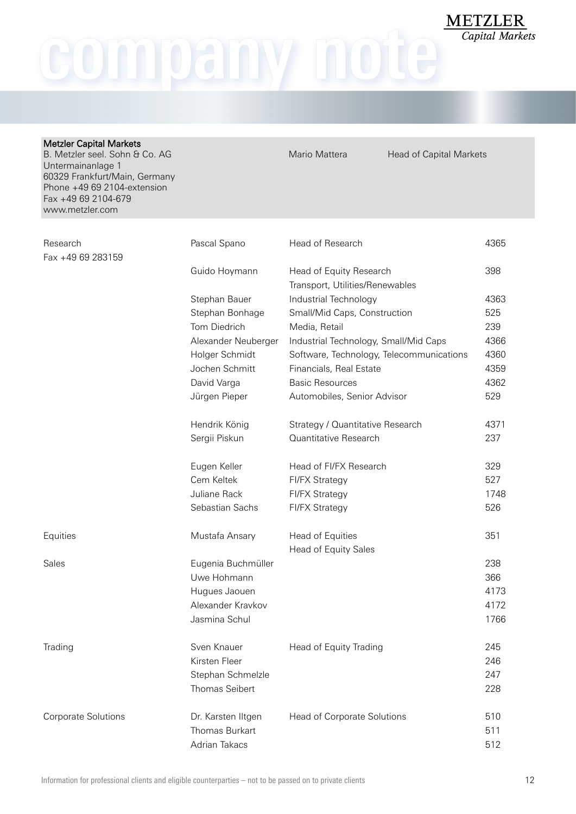company note

| <b>Metzler Capital Markets</b><br>B. Metzler seel. Sohn & Co. AG<br>Untermainanlage 1<br>60329 Frankfurt/Main, Germany<br>Phone +49 69 2104-extension<br>Fax +49 69 2104-679<br>www.metzler.com |                     | Mario Mattera                                              | <b>Head of Capital Markets</b> |      |
|-------------------------------------------------------------------------------------------------------------------------------------------------------------------------------------------------|---------------------|------------------------------------------------------------|--------------------------------|------|
|                                                                                                                                                                                                 |                     |                                                            |                                |      |
| Research<br>Fax +49 69 283159                                                                                                                                                                   | Pascal Spano        | Head of Research                                           | 4365                           |      |
|                                                                                                                                                                                                 | Guido Hoymann       | Head of Equity Research<br>Transport, Utilities/Renewables |                                | 398  |
|                                                                                                                                                                                                 | Stephan Bauer       | Industrial Technology                                      |                                | 4363 |
|                                                                                                                                                                                                 | Stephan Bonhage     | Small/Mid Caps, Construction                               |                                | 525  |
|                                                                                                                                                                                                 | Tom Diedrich        | Media, Retail                                              |                                | 239  |
|                                                                                                                                                                                                 | Alexander Neuberger | Industrial Technology, Small/Mid Caps                      |                                | 4366 |
|                                                                                                                                                                                                 | Holger Schmidt      | Software, Technology, Telecommunications                   |                                | 4360 |
|                                                                                                                                                                                                 | Jochen Schmitt      | Financials, Real Estate                                    |                                | 4359 |
|                                                                                                                                                                                                 | David Varga         | <b>Basic Resources</b>                                     |                                | 4362 |
|                                                                                                                                                                                                 | Jürgen Pieper       | Automobiles, Senior Advisor                                |                                | 529  |
|                                                                                                                                                                                                 | Hendrik König       | Strategy / Quantitative Research                           |                                | 4371 |
|                                                                                                                                                                                                 | Sergii Piskun       | Quantitative Research                                      |                                | 237  |
|                                                                                                                                                                                                 | Eugen Keller        | Head of FI/FX Research                                     |                                | 329  |
|                                                                                                                                                                                                 | Cem Keltek          | <b>FI/FX Strategy</b>                                      |                                | 527  |
|                                                                                                                                                                                                 | Juliane Rack        | <b>FI/FX Strategy</b>                                      |                                | 1748 |
|                                                                                                                                                                                                 | Sebastian Sachs     | <b>FI/FX Strategy</b>                                      |                                | 526  |
| Equities                                                                                                                                                                                        | Mustafa Ansary      | Head of Equities                                           |                                | 351  |
|                                                                                                                                                                                                 |                     | <b>Head of Equity Sales</b>                                |                                |      |
| Sales                                                                                                                                                                                           | Eugenia Buchmüller  |                                                            |                                | 238  |
|                                                                                                                                                                                                 | Uwe Hohmann         |                                                            |                                | 366  |
|                                                                                                                                                                                                 | Hugues Jaouen       |                                                            |                                | 4173 |
|                                                                                                                                                                                                 | Alexander Kravkov   |                                                            |                                | 4172 |
|                                                                                                                                                                                                 | Jasmina Schul       |                                                            |                                | 1766 |
| Trading                                                                                                                                                                                         | Sven Knauer         | Head of Equity Trading                                     |                                | 245  |
|                                                                                                                                                                                                 | Kirsten Fleer       |                                                            |                                | 246  |
|                                                                                                                                                                                                 | Stephan Schmelzle   |                                                            |                                | 247  |
|                                                                                                                                                                                                 | Thomas Seibert      |                                                            |                                | 228  |
| <b>Corporate Solutions</b>                                                                                                                                                                      | Dr. Karsten Iltgen  | Head of Corporate Solutions                                |                                | 510  |
|                                                                                                                                                                                                 | Thomas Burkart      |                                                            |                                | 511  |
|                                                                                                                                                                                                 | Adrian Takacs       |                                                            |                                | 512  |

**METZLER**<br>Capital Markets